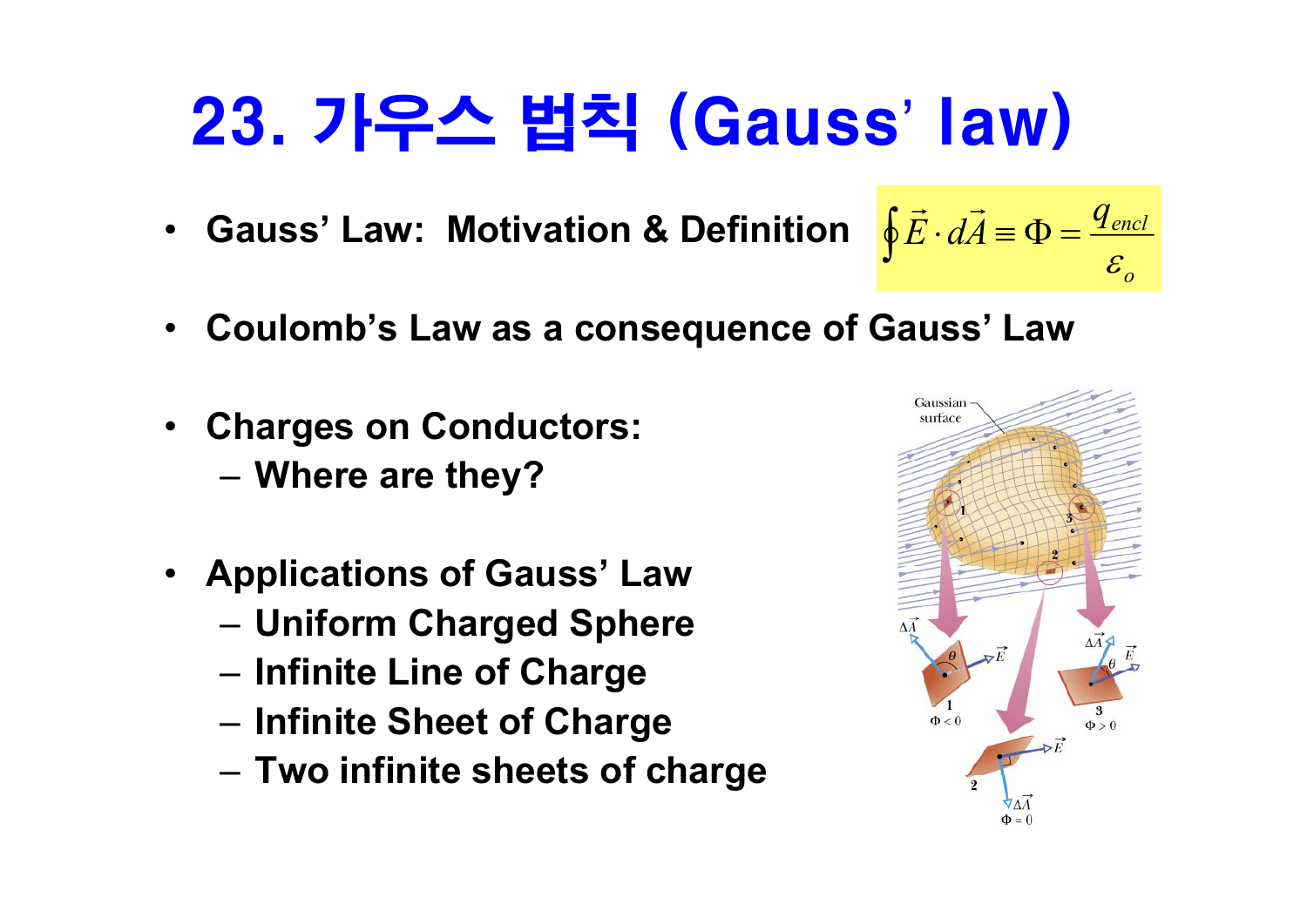# 23. 가우스 법칙 (Gauss' law)

- **Gauss' Law: Motivation & Definition** $\oint \vec{E} \cdot d\vec{A} \equiv \Phi = \frac{q_{encl}}{c}$
- $\bullet$ **Coulomb's Law as a consequence of Gauss' Law**
- $\bullet$  **Charges on Conductors:**
	- **Where are they?**
- **A li ti f G ' L Applications of Gauss' Law**
	- **Uniform Charged Sphere**
	- **Infinite Line of Charge**
	- **Infinite Sheet of Charge**
	- **Two infinite sheets of charge**



 $\mathcal{E}_o$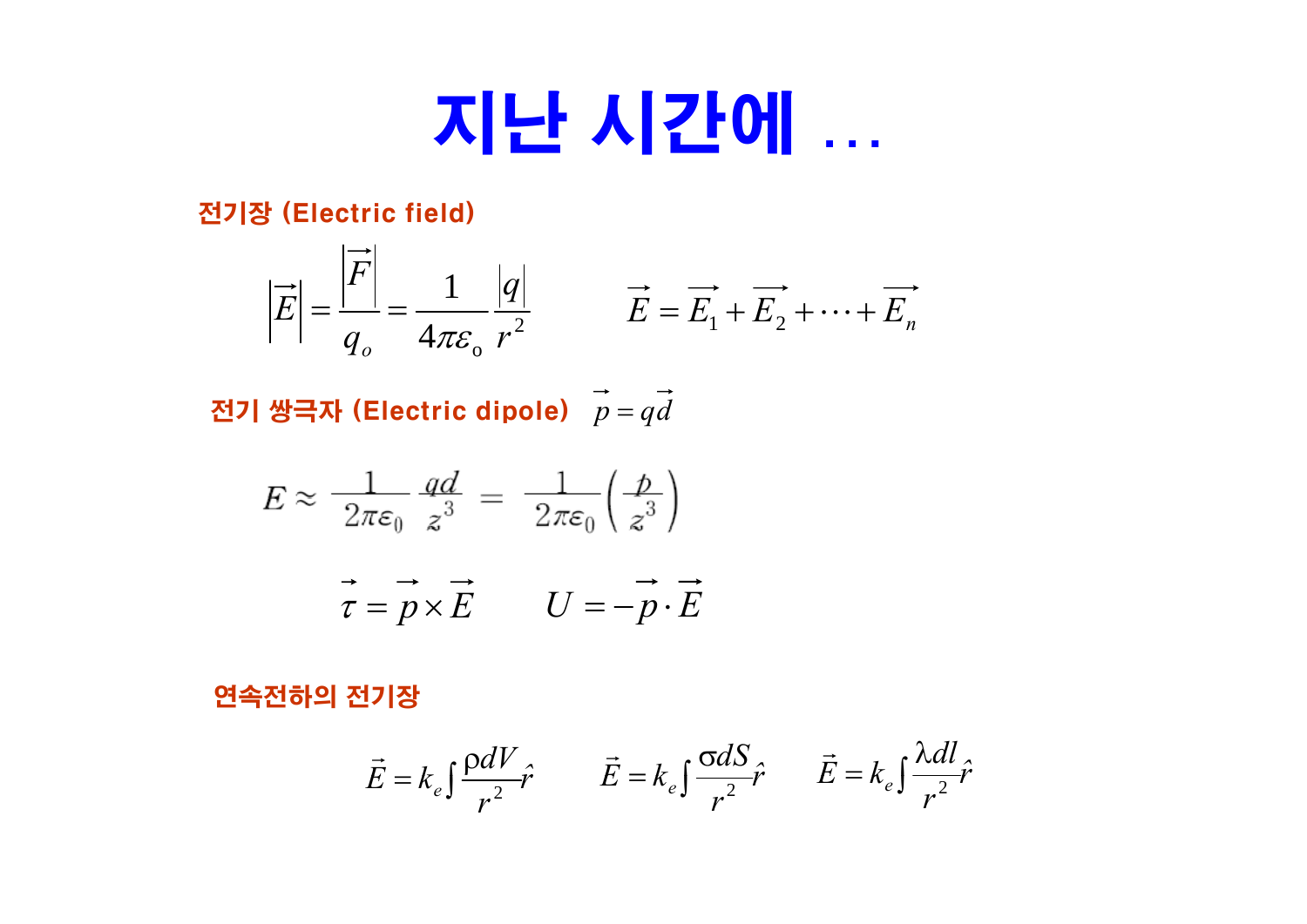# 지난 시간에 …

전기장 (Electric field)

$$
\left|\vec{E}\right| = \frac{\left|\vec{F}\right|}{q_o} = \frac{1}{4\pi\varepsilon_o} \frac{|q|}{r^2} \qquad \vec{E} = \vec{E}_1 + \vec{E}_2 + \dots + \vec{E}_n
$$

전기 쌍극자 (Electric dipole)  $\vec{p} = q\vec{d}$ 

$$
E \approx \frac{1}{2\pi\varepsilon_0} \frac{qd}{z^3} = \frac{1}{2\pi\varepsilon_0} \left(\frac{p}{z^3}\right)
$$

$$
\vec{\tau} = \vec{p} \times \vec{E} \qquad U = -\vec{p} \cdot \vec{E}
$$

#### 연속전하의 전기장

$$
\vec{E} = k_e \int \frac{\rho dV}{r^2} \hat{r} \qquad \vec{E} = k_e \int \frac{\sigma dS}{r^2} \hat{r} \qquad \vec{E} = k_e \int \frac{\lambda dl}{r^2} \hat{r}
$$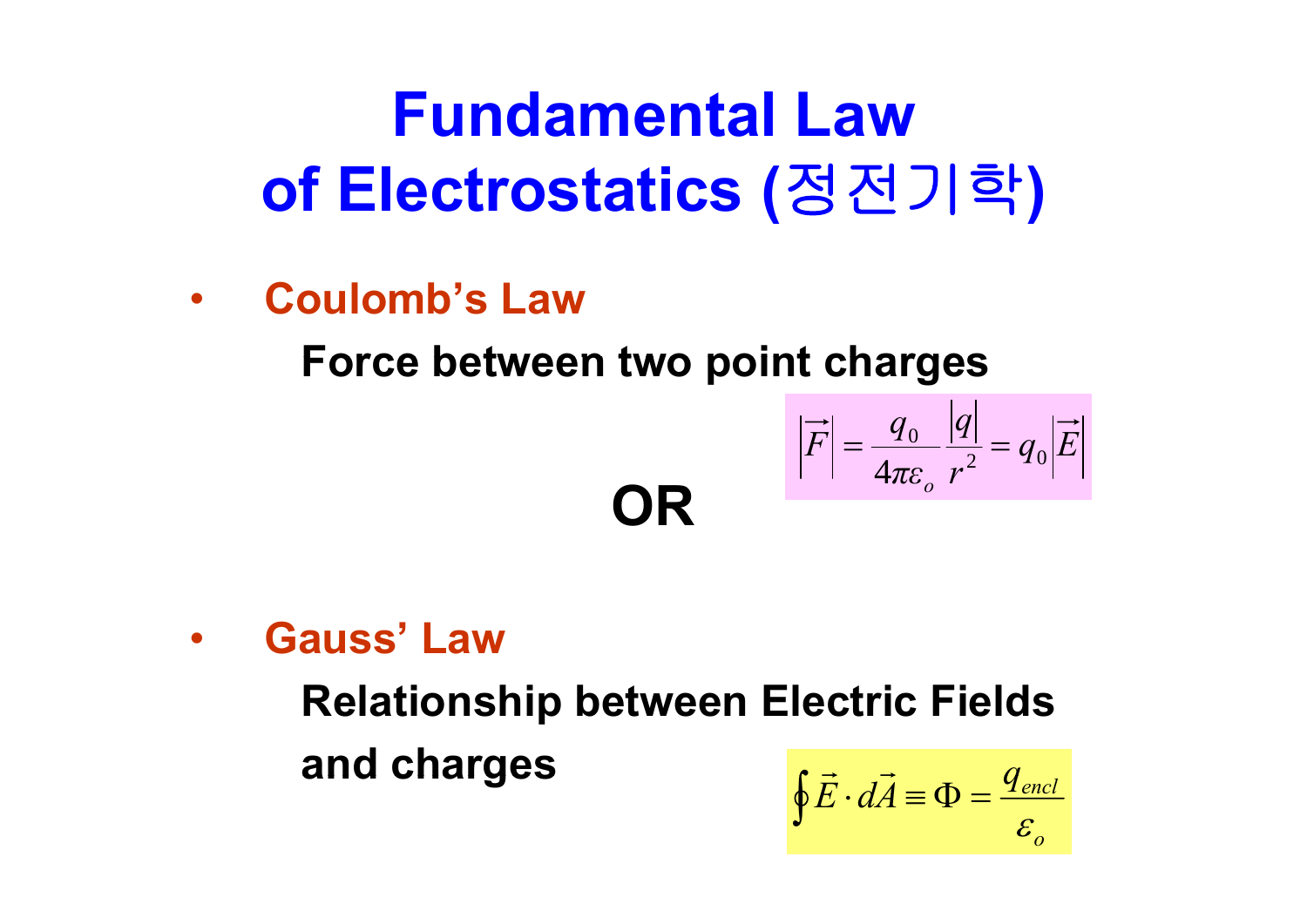# **Fundamental Lawof Electrostatics (**정전기학 **)**

•**Coulomb's Law**

**Force between two point charges between two**

**OR**

$$
\left|\overrightarrow{F}\right| = \frac{q_0}{4\pi\varepsilon_o} \frac{|q|}{r^2} = q_0 \left|\overrightarrow{E}\right|
$$

•**Gauss' Law**

> **Relationship between Electric Fields and charges** *q*  $\mathbf{G}$  charges  $\oint \vec{E}$  $\rightarrow$ *encl*

$$
\oint \vec{E} \cdot d\vec{A} \equiv \Phi = \frac{q_{\text{encl}}}{\varepsilon_o}
$$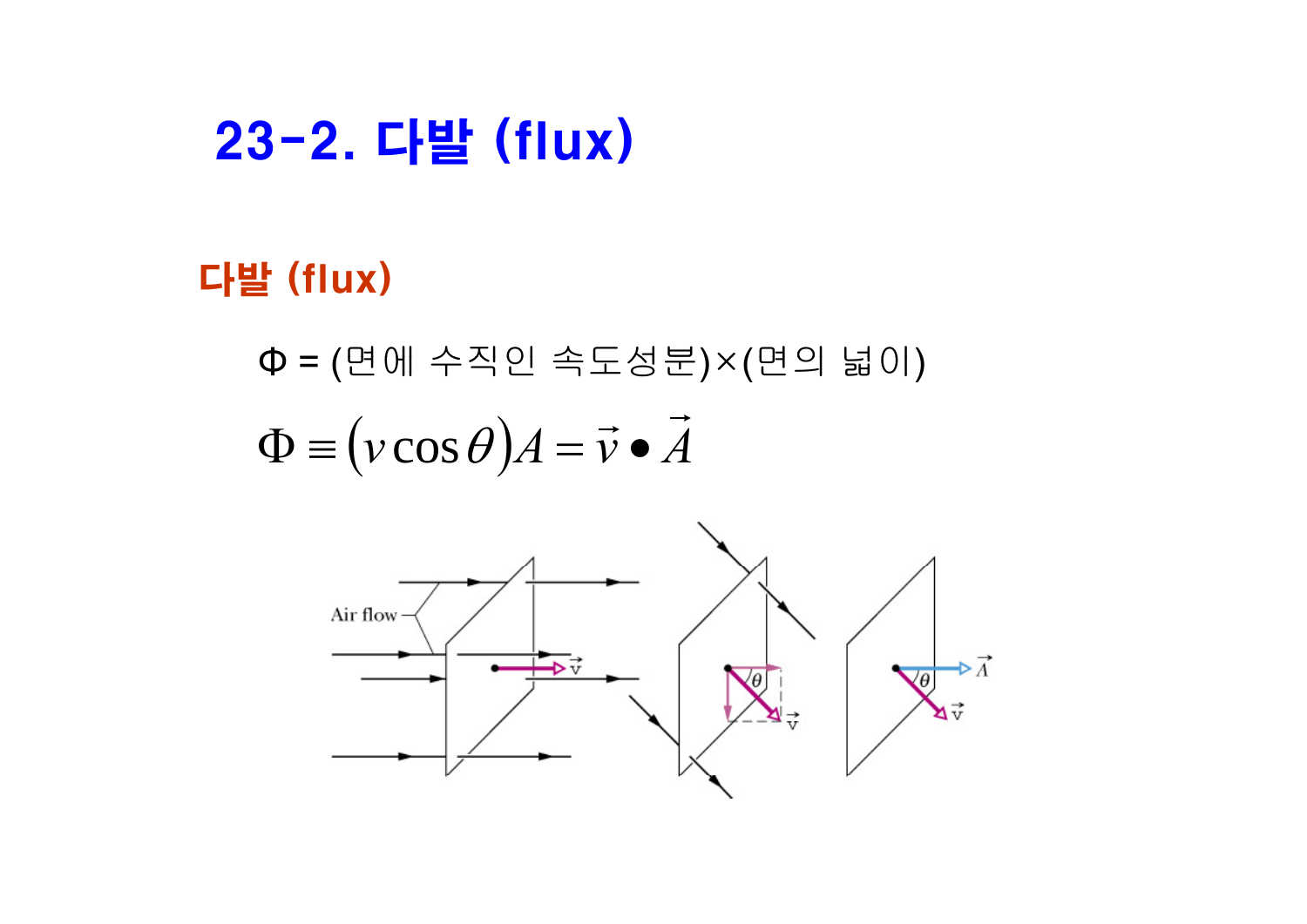### 23-2. 다발 (flux)

### 다발 (flux)

Φ <sup>=</sup> (면에 수직인 속도성분)×(면의 넓이)  $\Phi \equiv (v \cos \theta) A = \vec{v} \cdot \vec{A}$ 

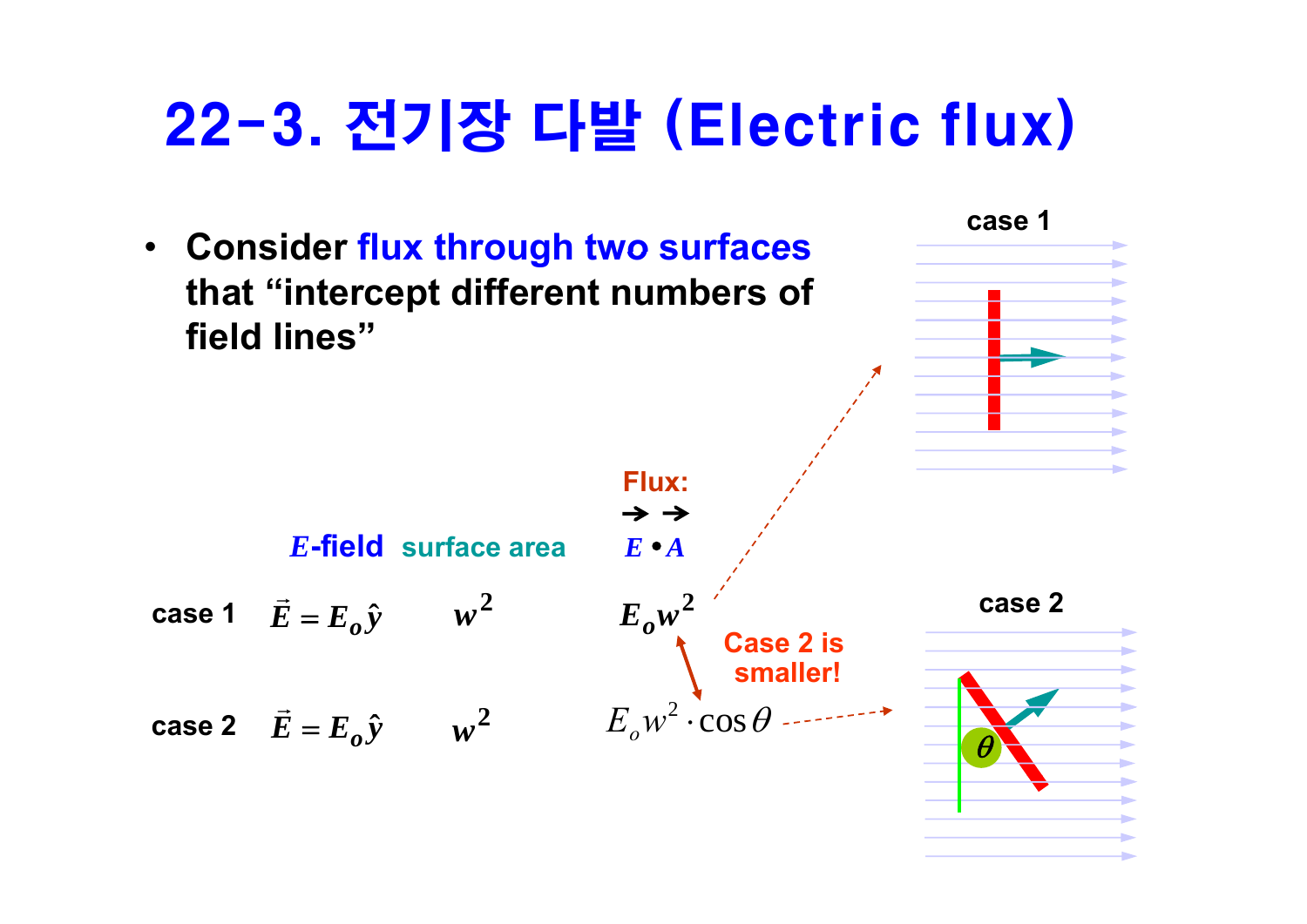## 22-3. 전기장 다발 (Electric flux)

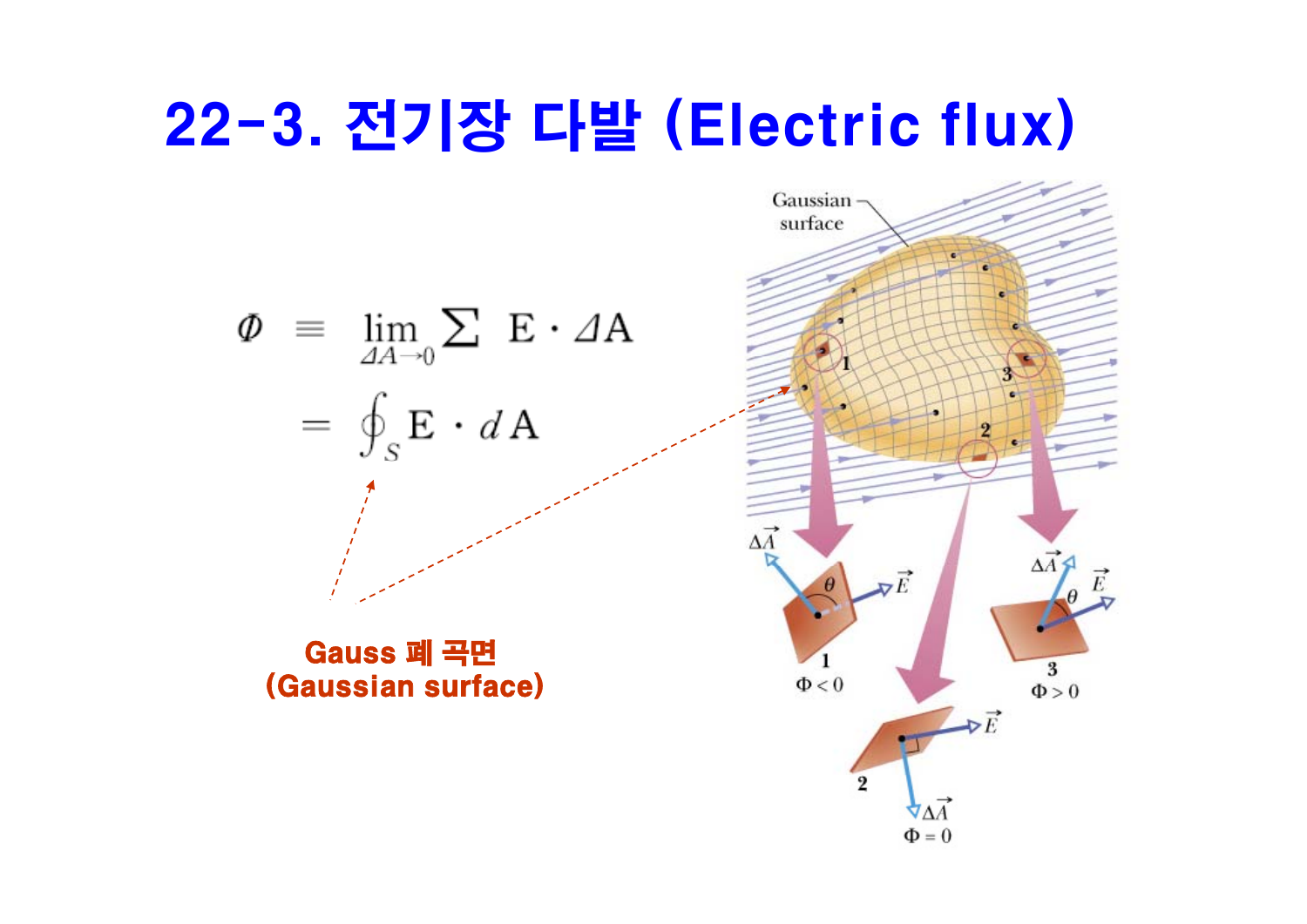## 22-3. 전기장 다발 (Electric flux)

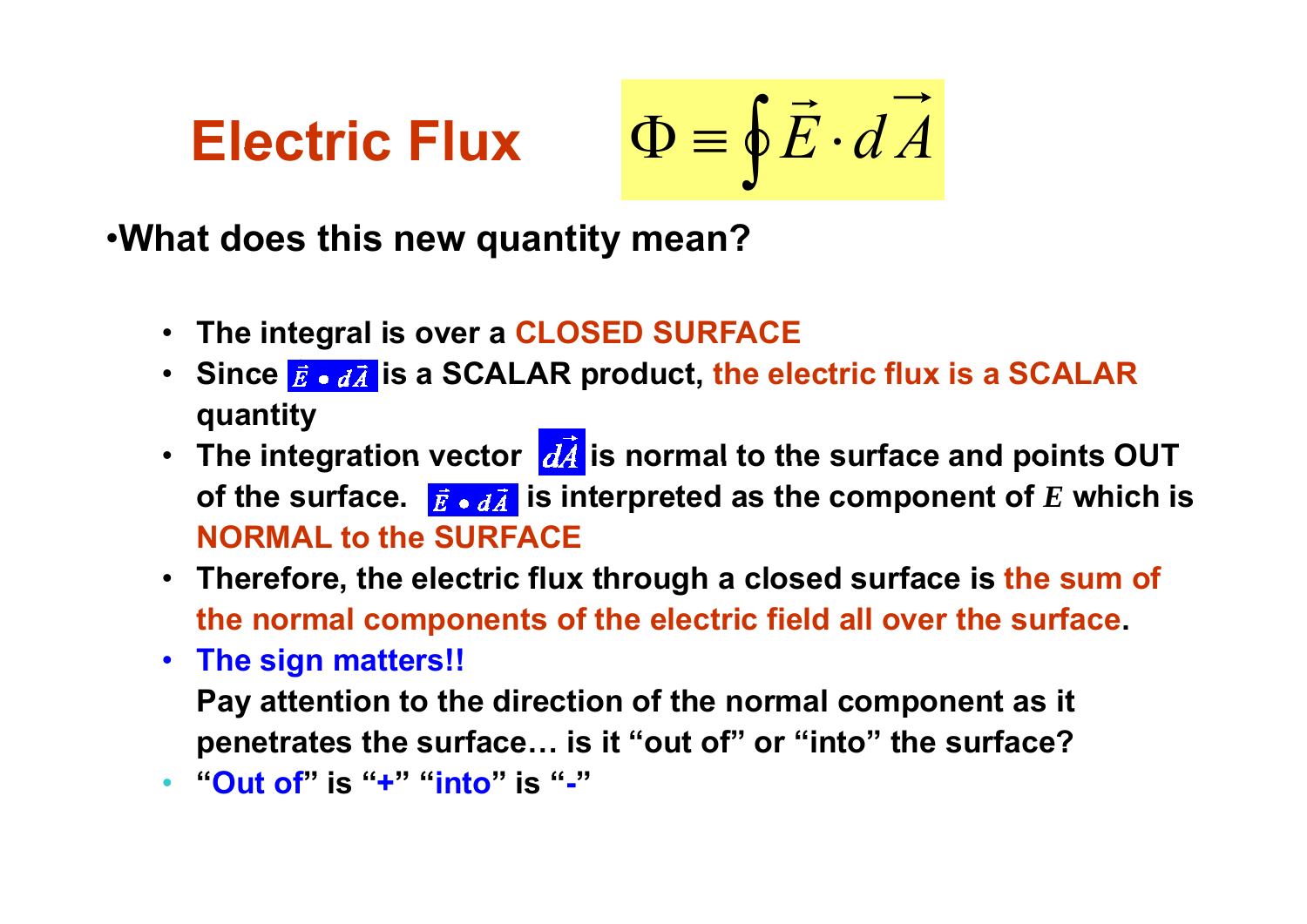**Electric Flux**

 $\int \mathbf{F} \cdot d\vec{A}$ 

•**What does this new quantity mean? q y**

- **The integral is over a CLOSED SURFACE**
- Since  $\vec{\bf{E}}\bullet d\vec{\bf{A}}$  is a SCALAR product, the electric flux is a SCALAR **quantity**
- **The integration vector is normal to the surface and points OUT of the surface.**  $\vec{E} \cdot d\vec{A}$  is interpreted as the component of  $E$  which is **NORMAL to the SURFACE**
- **Therefore, the electric flux through a closed surface is the sum of the normal components of the electric field all over the surface.**
- **The sign matters!! Pay attention to the direction of the normal component as it penetrates the surface… is it "out of" or "into" the surface?**
- **"Ot f u o "i " s+" "i t n o"i " s-"**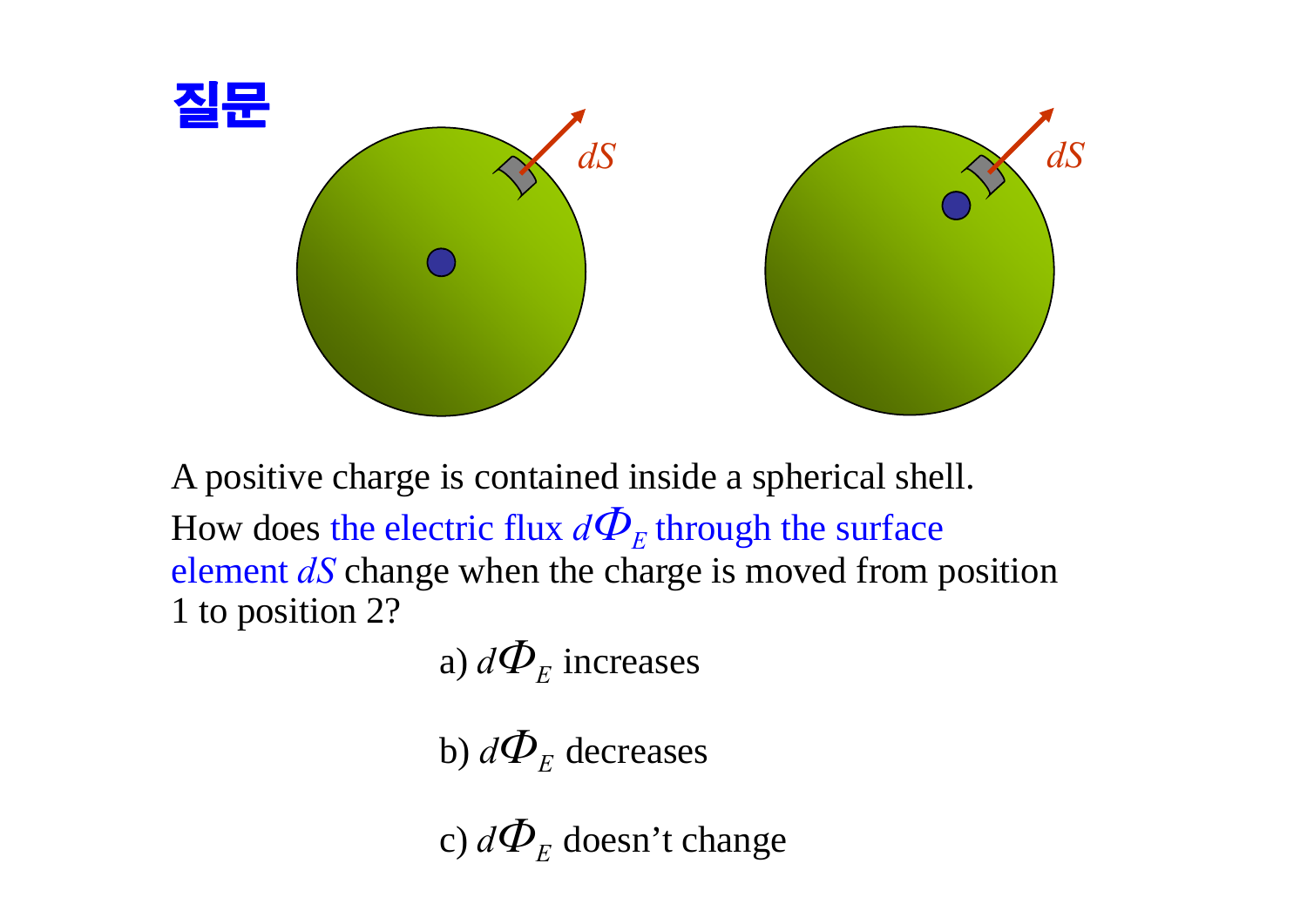

A positive charge is contained inside a spherical shell. How does the electric flux  $d\mathbf{\Phi}_E$  through the surface element *dS* change when the charge is moved from position 1 to position 2?

a) 
$$
d\mathbf{\Phi}_E
$$
 increases

b)  $d\mathbf{\Phi}_{\scriptscriptstyle{E}}$  decreases

c)  $d\mathbf{\Phi}_{\scriptscriptstyle{E}}$  doesn't change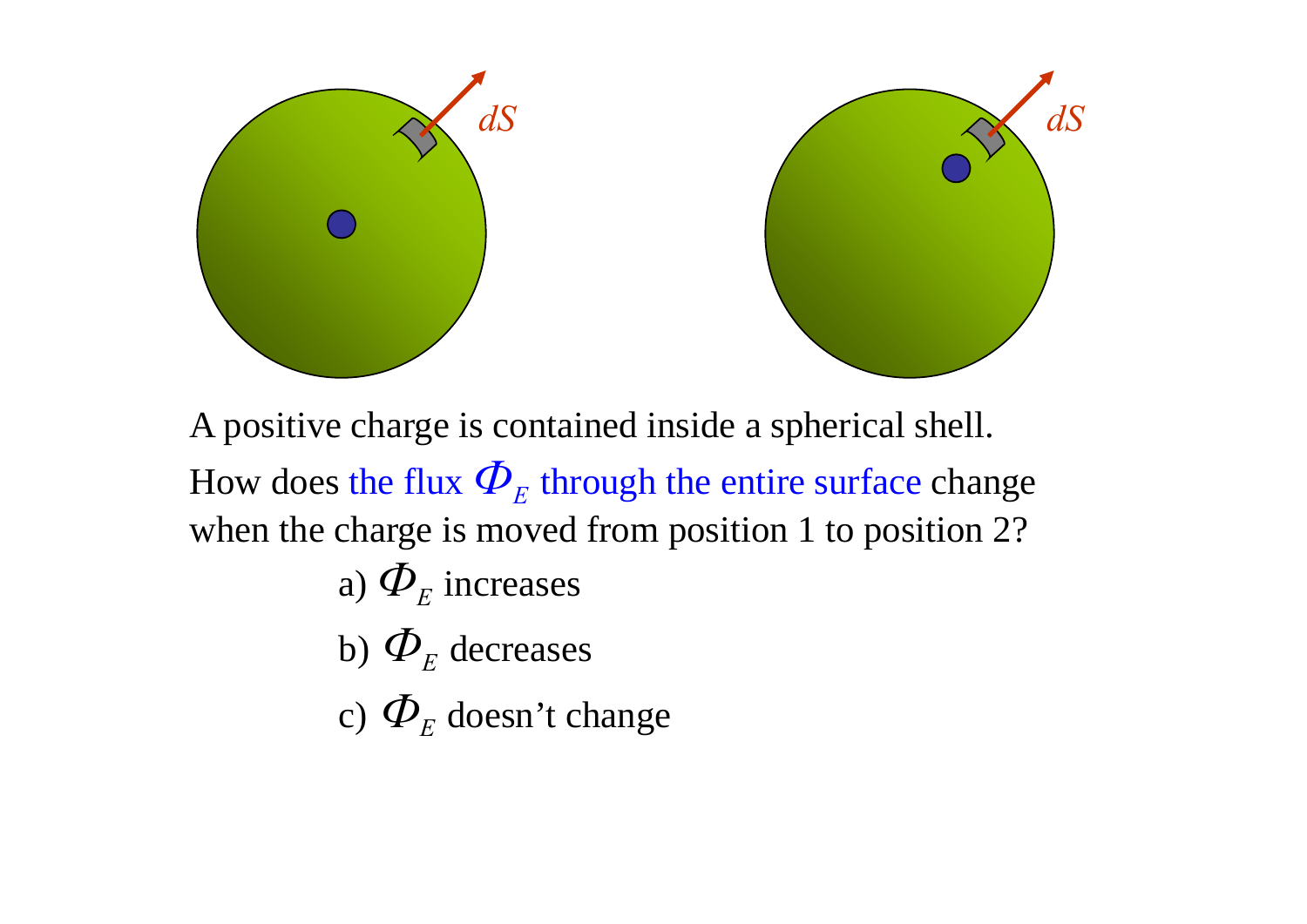

A positive charge is contained inside a spherical shell. How does the flux  $\boldsymbol{\varPhi}_{\!E}$  through the entire surface change when the charge is moved from position 1 to position 2?

a) 
$$
\boldsymbol{\varPhi}_{\!E}
$$
 increases

b) 
$$
\Phi_E
$$
 decreases

c)  $\Phi_F$  doesn't change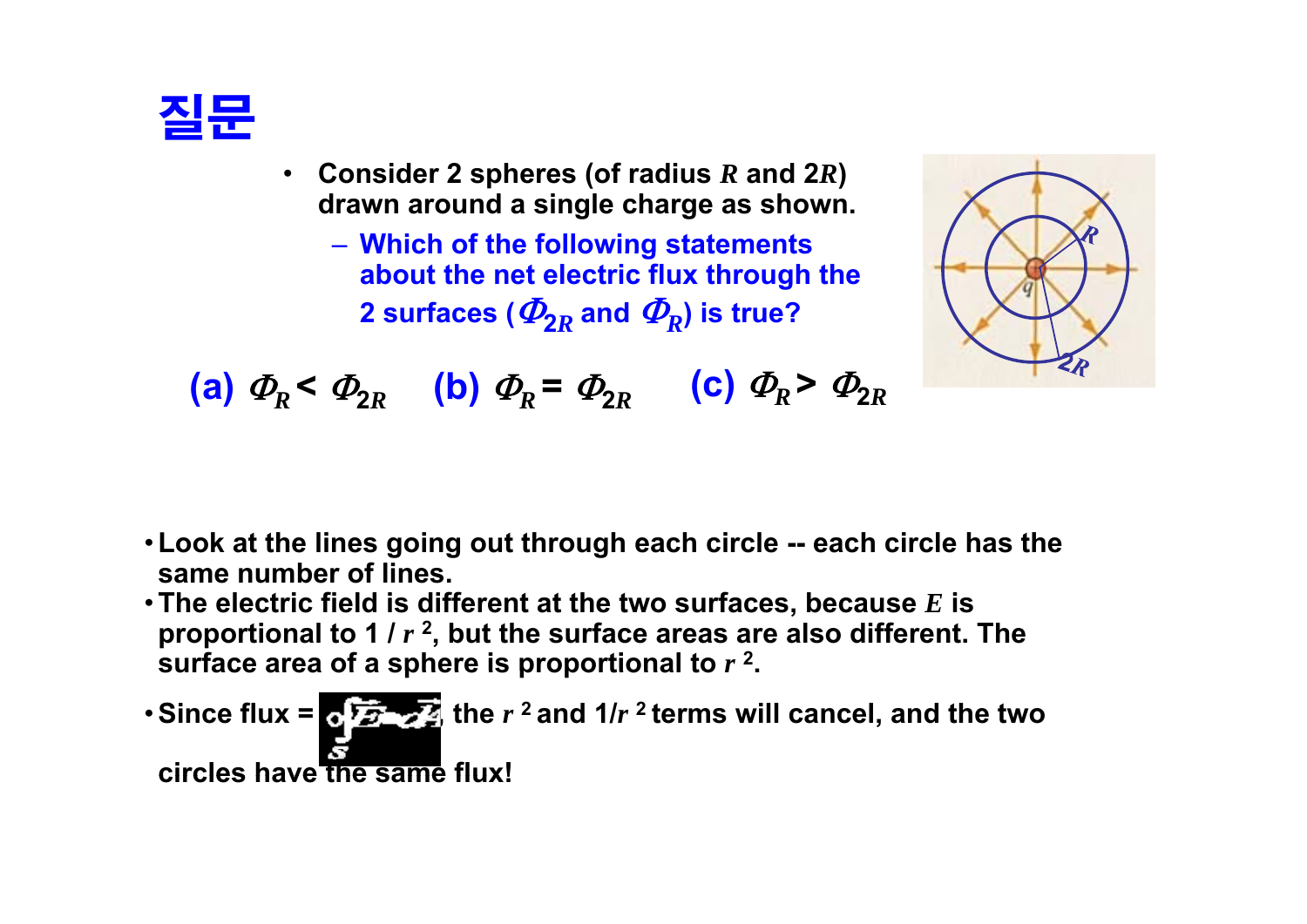

- **Consider 2 spheres (of radius** *R* **and 2***R***) drawn around a single charge as shown.**
	- **Which of the following statements following about the net electric flux through the 2** surfaces (  $\boldsymbol{\varPhi}_{\mathbf{2}R}$  and  $\boldsymbol{\varPhi}_{\mathbf{R}}$ ) is true?



**(a)**  $\Phi_R < \Phi_{2R}$  **(b)**  $\Phi_R = \Phi_{2R}$  **(c)**  $\Phi_R > \Phi_{2R}$ 

- •**Look at the lines going out through each circle -- each circle has the same numb f li er of lines.**
- •**The electric field is different at the two surfaces, because** *E* **is proportional to 1 /** *<sup>r</sup>* **2, but the surface areas are also different. The surface area of <sup>a</sup> sphere is proportional to** *<sup>r</sup>* **<sup>2</sup> .**
- Since flux =  $\sqrt{2}$   $\sqrt{2}$  the  $r^2$  and  $1/r^2$  terms will cancel, and the two **circles have the same flux!**\_ \_ \_ \_ \_ \_ \_ \_ \_ \_ \_ \_ \_ \_ \_ \_ \_ \_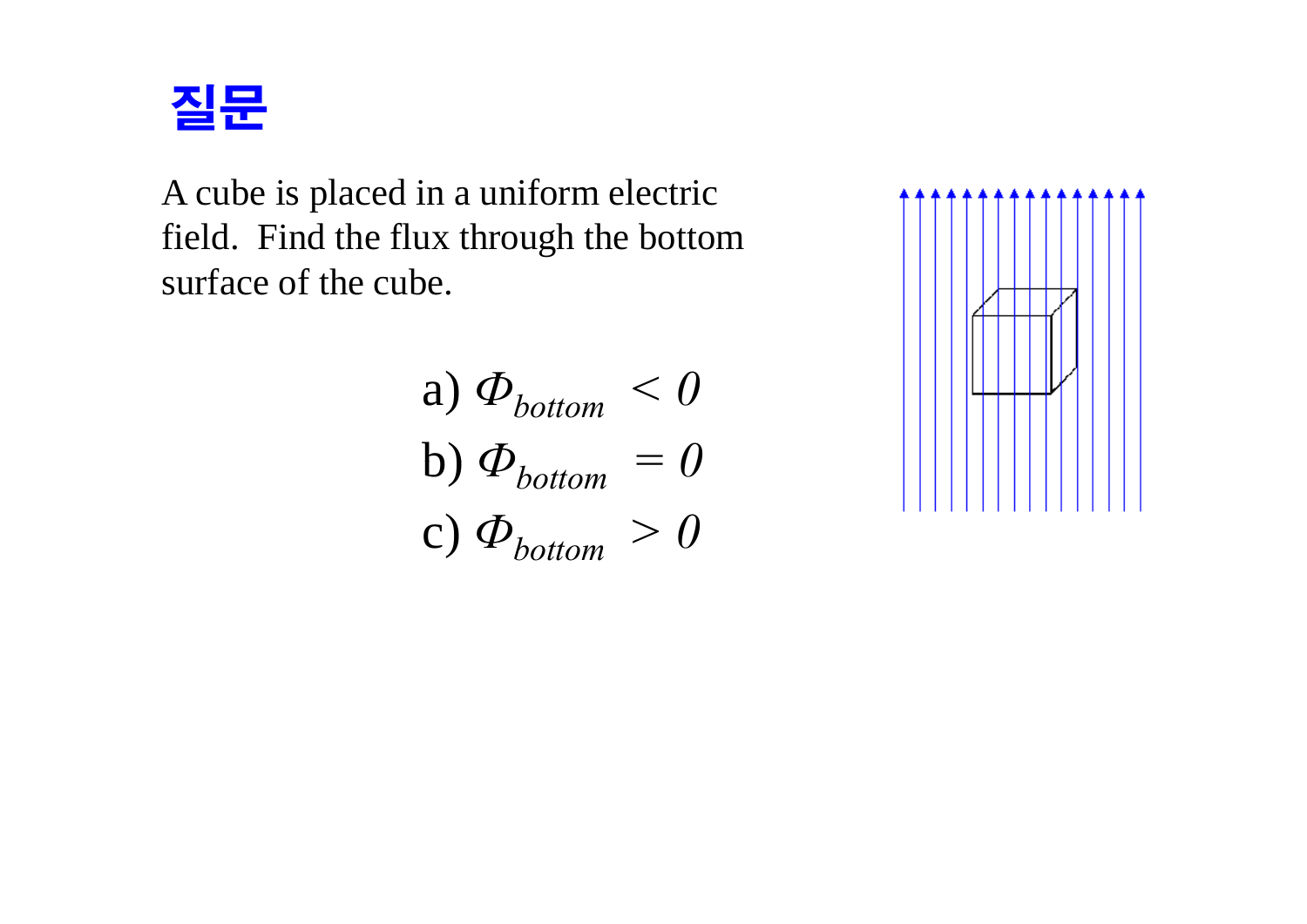

A cube is placed in a uniform electric field. Find the flux through the bottom surface of the cube.

a) 
$$
\Phi_{bottom} < 0
$$
  
b)  $\Phi_{bottom} = 0$   
c)  $\Phi_{bottom} > 0$ 

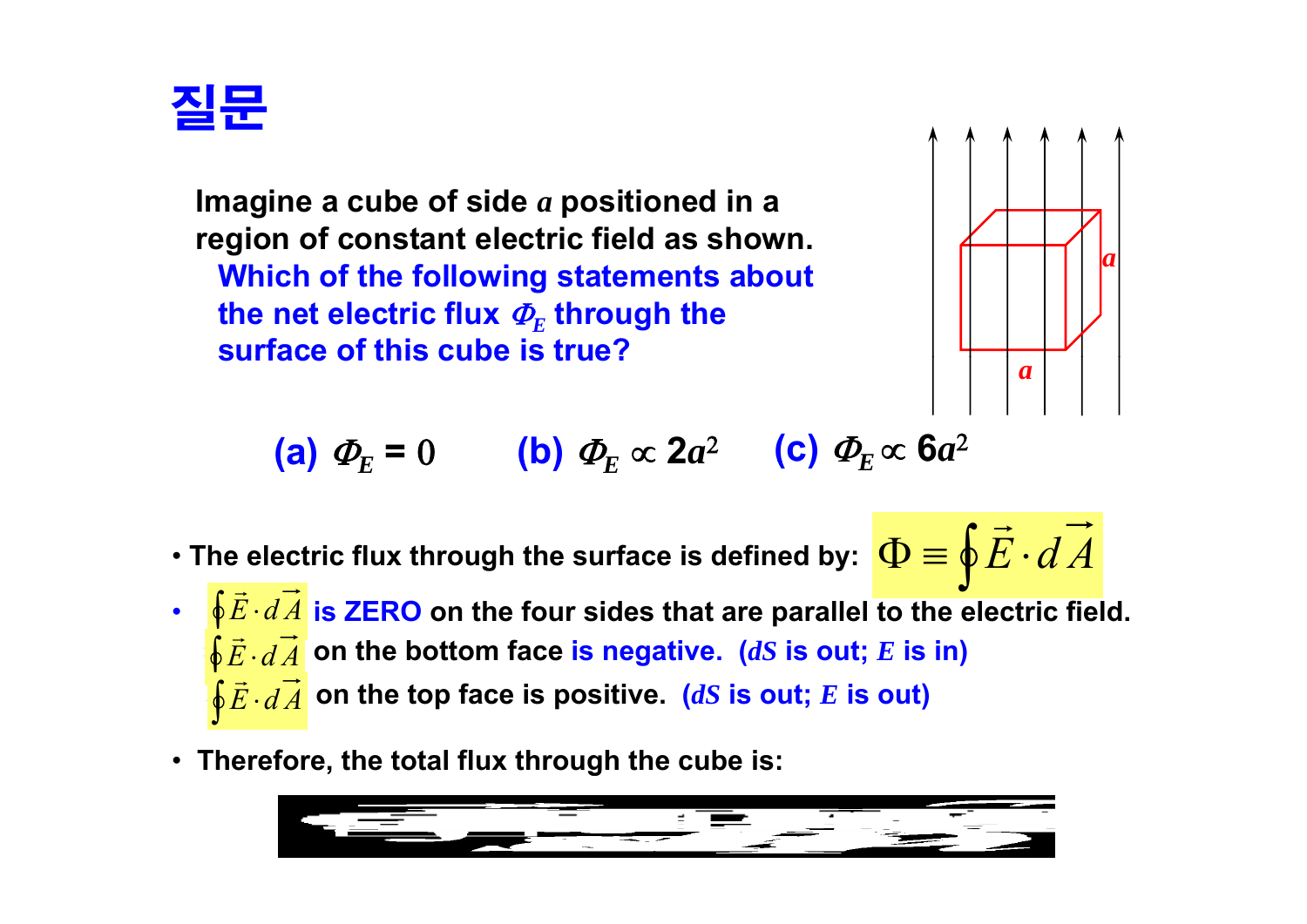

**Imagine a cube of side**  *a* **positioned in a re gion of constant electric field as shown. Which of the following statements about**  the net electric flux  $\boldsymbol{\varPhi}_{\!E}$  through the **surface of this cube is true?**



 $\rightarrow$ 

(a) 
$$
\Phi_E = 0
$$
 (b)  $\Phi_E \propto 2a^2$  (c)  $\Phi_E \propto 6a^2$ 

- **The electric flux throu gh the surface is defined b y:** ∫  $\Phi \equiv \Phi E \cdot dA$ gn the surface is defined by:  $|\mathbf{\Psi} \equiv \mathbf{\Psi}|$
- $\oint \vec{E} \cdot d\vec{A}$  on the bottom face is negative. (*dS* is out; *E* is in) •  $\sqrt[6]{\vec{E} \cdot d\vec{A}}$  is ZERO on the four sides that are parallel to the electric field. —  $\rightarrow$  $\oint \vec{E} \cdot d\vec{A}$  on the top face is positive. *(dS* is out; *E* is out) —
- Therefore, the total flux through the cube is:

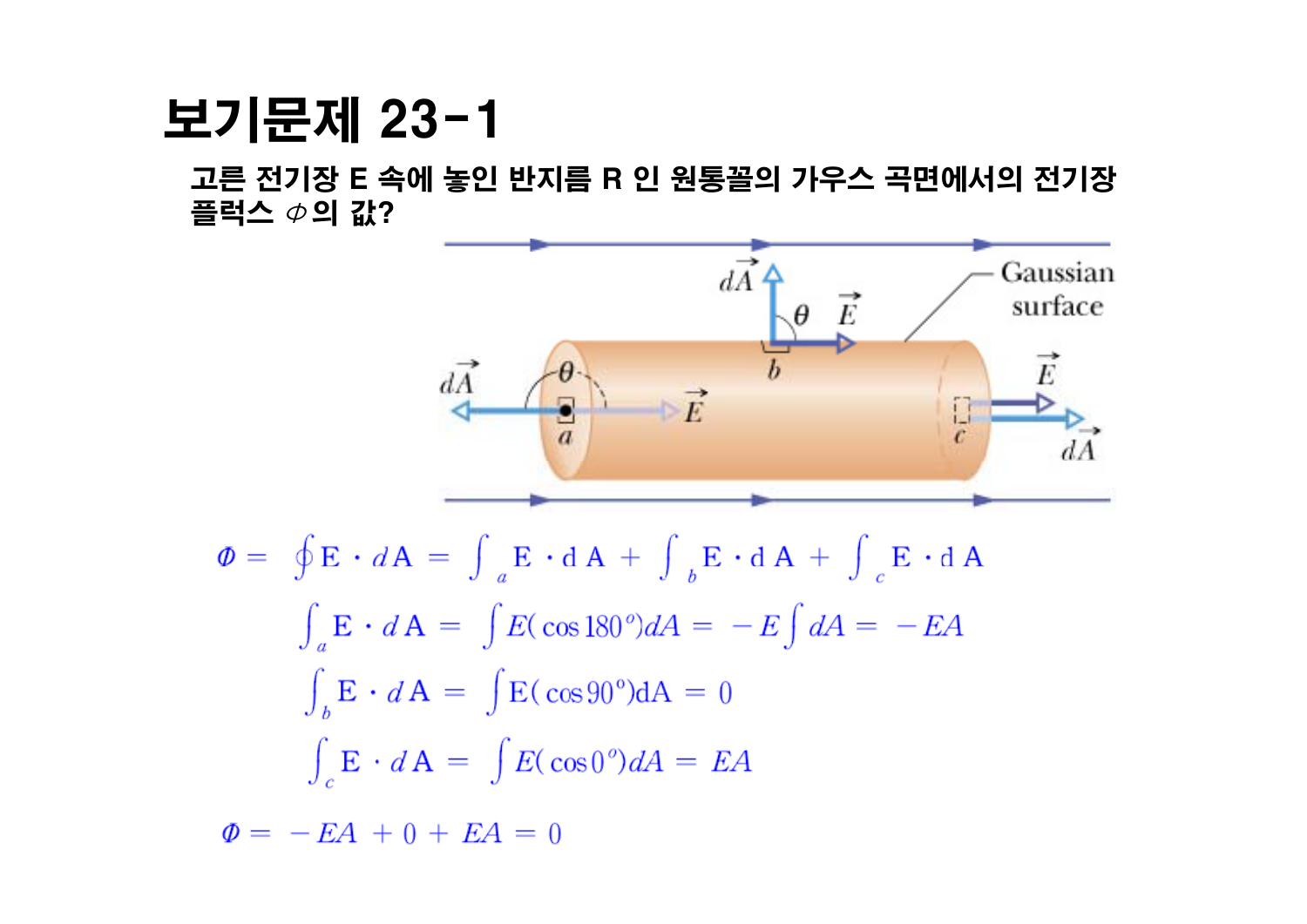### 보기문제 23-1

고른 전기장 E 속에 놓인 반지름 R 인 원통꼴의 가우스 곡면에서의 전기장 플럭스  $\phi$ 의 값?

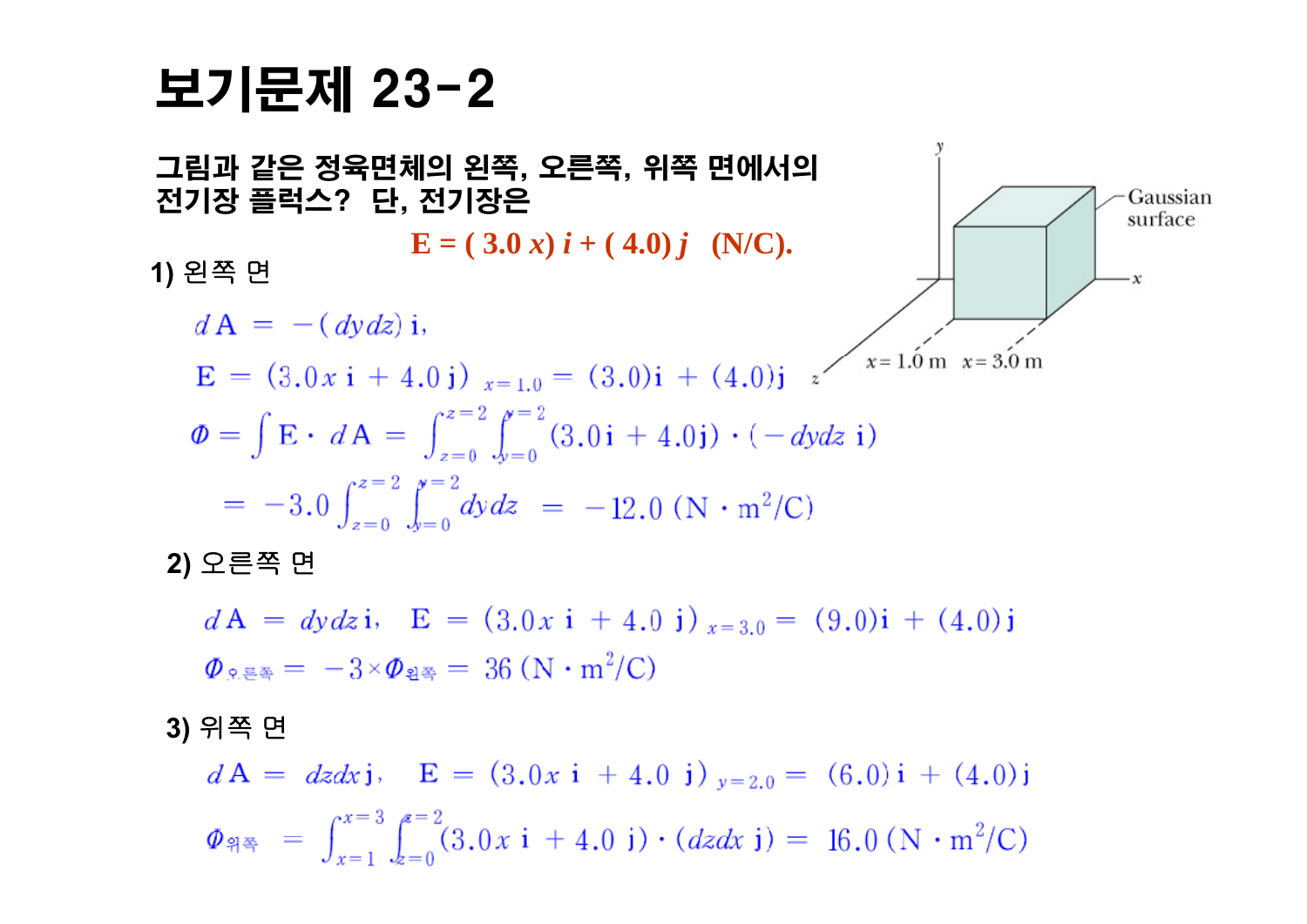### 보기문제 23-2



**2)** 오른쪽 면

 $dA = dy dz$ i,  $E = (3.0x i + 4.0 j)_{x=3.0} = (9.0)i + (4.0)j$  $\Phi$ <sub>o</sub> =  $= -3 \times \Phi$ <sub>2</sub> = 36 (N · m<sup>2</sup>/C)

**3)** 위쪽 면

 $d\mathbf{A} = dz dx$ j,  $\mathbf{E} = (3.0x \mathbf{i} + 4.0 \mathbf{j})_{y=2,0} = (6.0) \mathbf{i} + (4.0) \mathbf{j}$  $\Phi_{\mathbb{P}} = \int_{x=1}^{x=3} \int_{z=0}^{z=2} (3.0x \text{ i} + 4.0 \text{ j}) \cdot (dz dx \text{ j}) = 16.0 \text{ (N} \cdot \text{m}^2/\text{C})$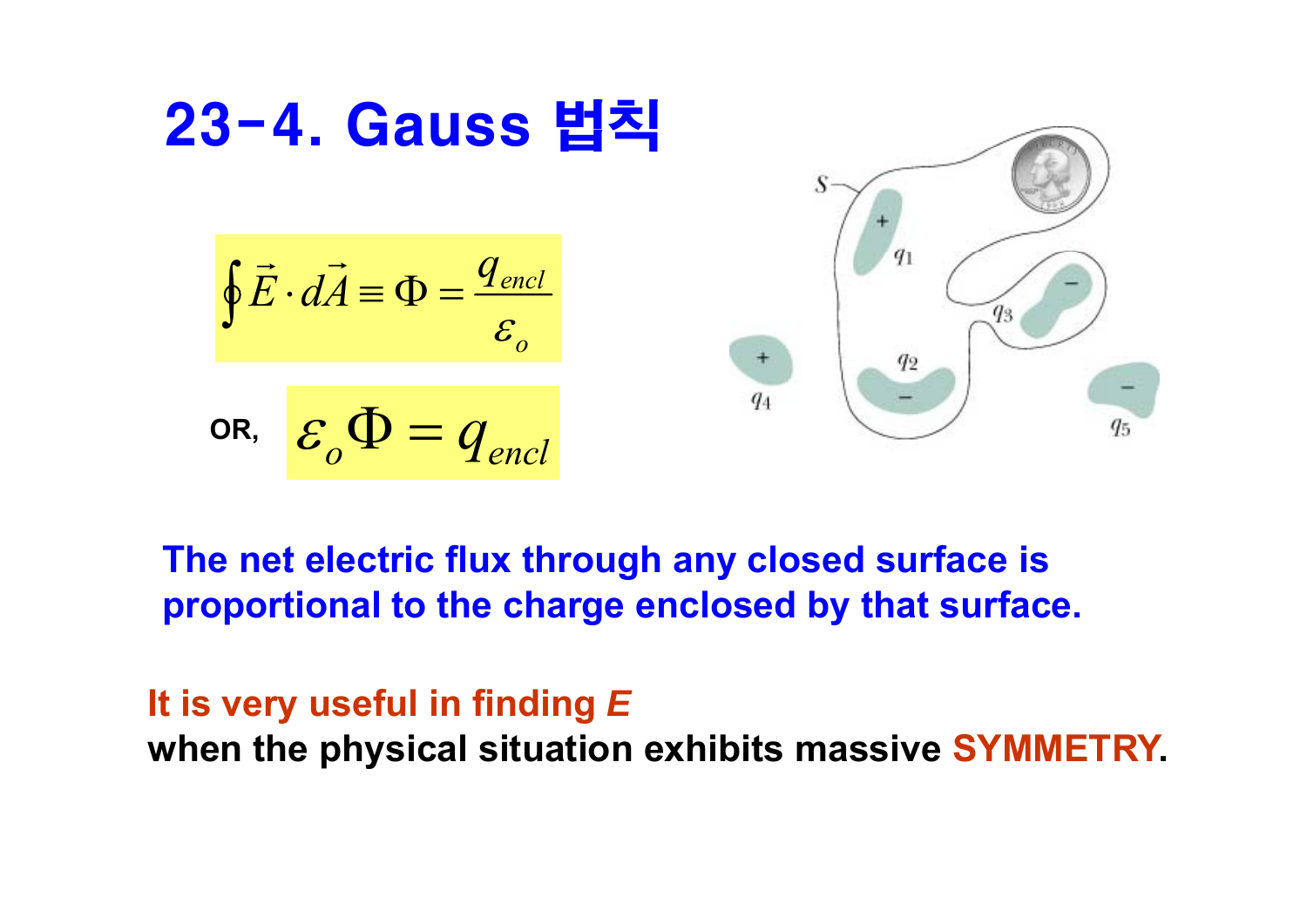

#### **The net electric flux through any closed surface is proportional to the charge enclosed by that surface.**

#### **It is very useful in finding** *E* **when the physical situation exhibits massive SYMMETRY.**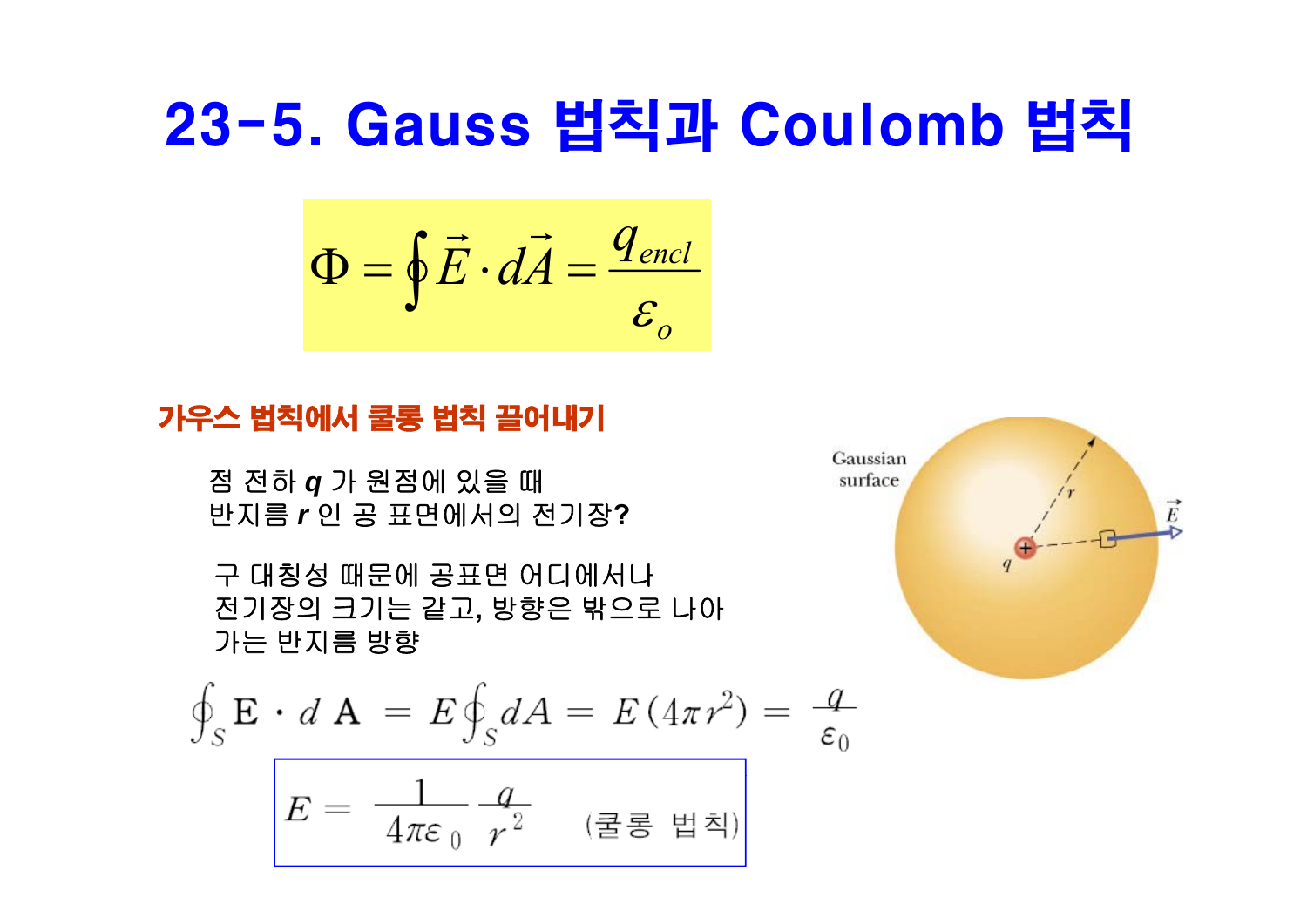### 23-5. Gauss 법칙과 Coulomb 법칙

$$
\Phi = \oint \vec{E} \cdot d\vec{A} = \frac{q_{\text{encl}}}{\varepsilon_o}
$$

#### 가우스 법칙에서 쿨롱 법칙 끌어내기

점 전하 *q* 가 원점에 있을 때 반지름 *<sup>r</sup>*인 공 표면에서의 전기장**?**

구 대칭성 때문에 공표면 어디에서나 전기장의 크기는 같고**,** 방향은 밖으로 나아 가는 반지름 방향

$$
\oint_{S} \mathbf{E} \cdot d \mathbf{A} = E \oint_{S} dA = E (4\pi r^{2}) = \frac{q}{\varepsilon_{0}}
$$

$$
E = \frac{1}{4\pi\epsilon_0} \frac{q}{r^2} \quad (\Xi \Xi \text{ s} \Xi)
$$

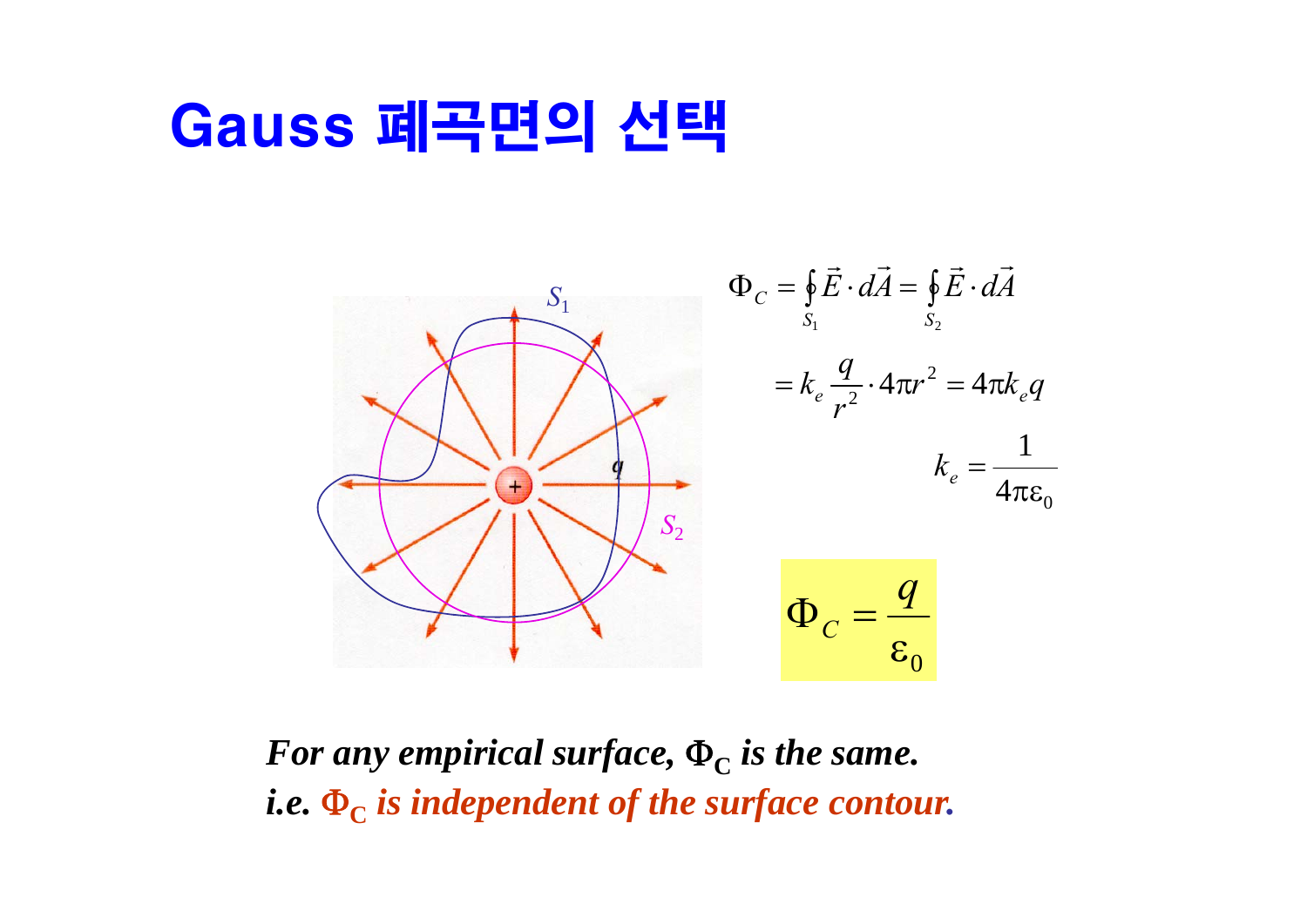### Gauss 폐곡면의 선택



*For any empirical surface,*  $\Phi_C$  *is the same.*  $i.e.$   $\Phi_{\text{C}}$  *is independent of the surface contour.*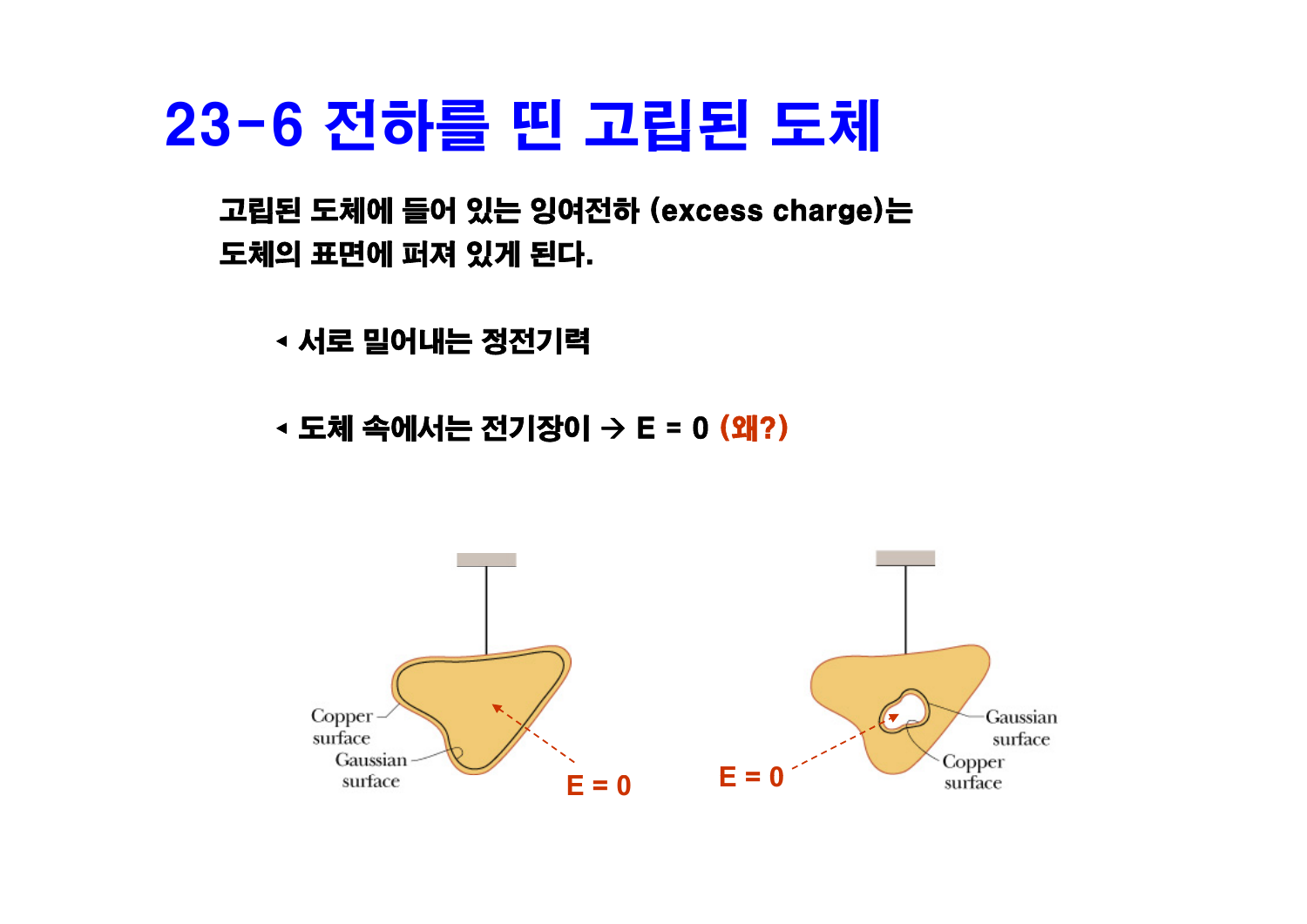## 23-6 전하를 띤 고립된 도체

고립된 도체에 들어 있는 잉여전하 (excess charge)는 도체의 표면에 퍼져 있게 된다.

◂ 서로 밀어내는 정전기력

◂ 도체 속에서는 전기장이 Æ E = 0 (왜?)

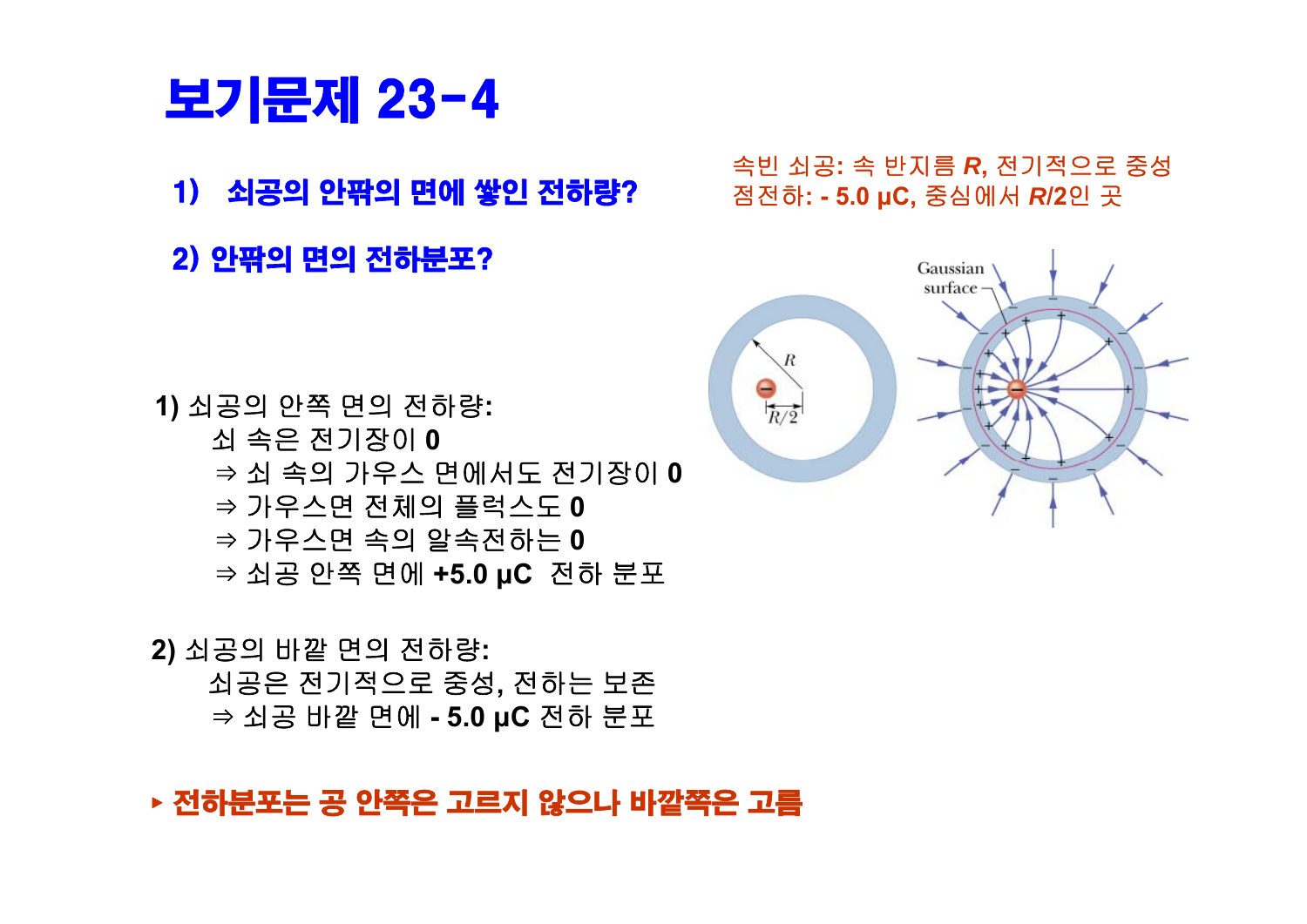#### ▸ 전하분포는 공 안쪽은 고르지 않으나 바깥쪽은 고름

**2)** 쇠공의 바깥 면의 전하량**:** 쇠공은 전기적으로 중성**,** 전하는 보존 ⇒ 쇠공 바깥 면에 **- 5.0 μC** 전하 분포

- ⇒ 쇠 속의 가우스 면에서도 전기장이 **0** ⇒ 가우스면 전체의 플럭스도 **0** ⇒ 가우스면 속의 알속전하는 **0** ⇒ 쇠공 안쪽 면에 **+5 0. μC** 전하 분포
- 쇠 속은 전기장이 **0**
- **1)** 쇠공의 안쪽 면의 전하량**:**
- 
- 2) 안팎의 면의 전하분포?
- 
- 보기문제 23-4



속빈 쇠공**:** <sup>속</sup> 반지름 *<sup>R</sup>***,** 전기적으로 중성 1) 쇠공의 안팎의 면에 쌓인 전하량? 점전하**: - 5.0 μC,** 중심에서 *<sup>R</sup>***/2**<sup>인</sup> <sup>곳</sup>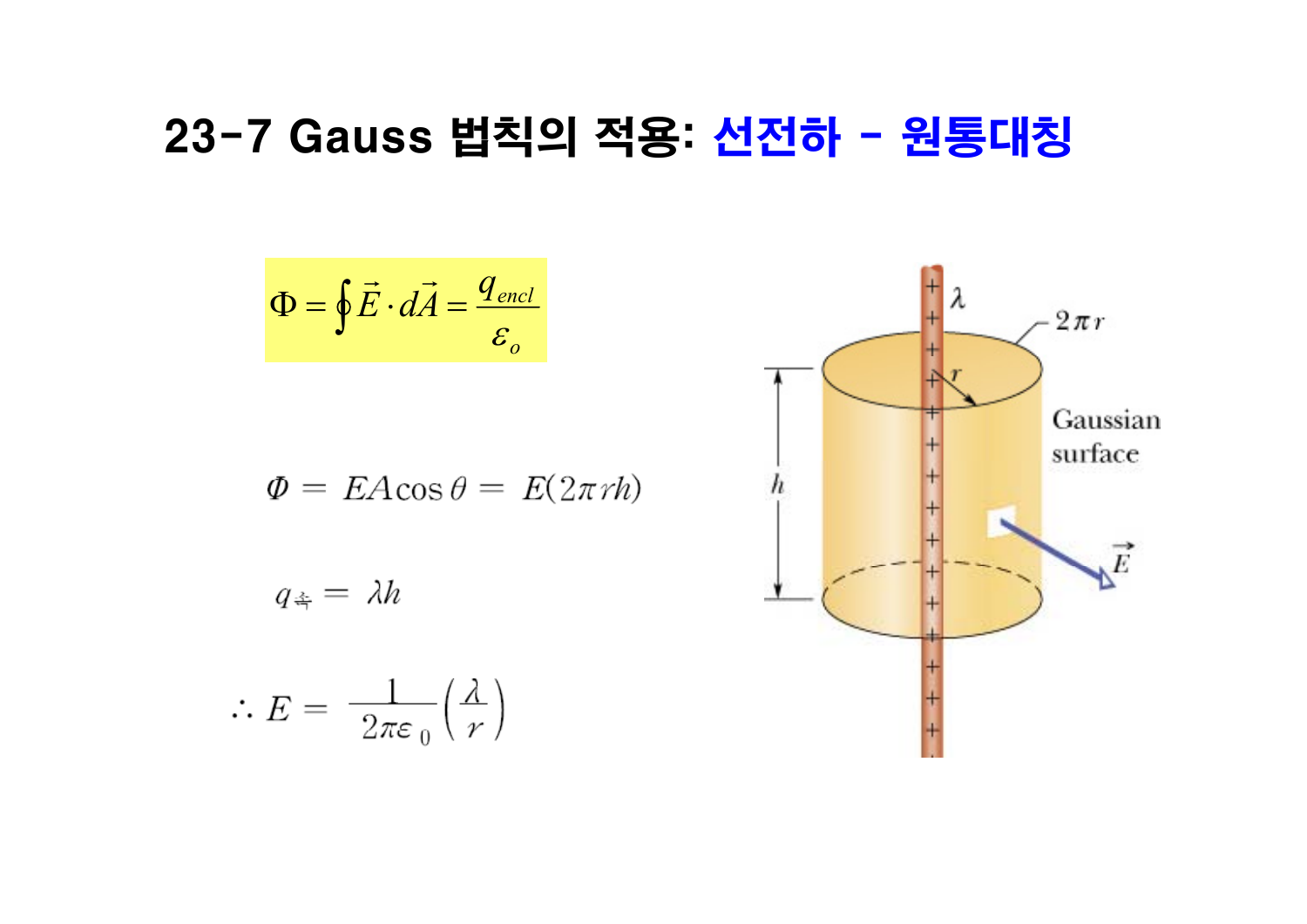### 23-7 Gauss 법칙의 적용: 선전하 - 원통대칭

$$
\Phi = \oint \vec{E} \cdot d\vec{A} = \frac{q_{encl}}{\varepsilon_o}
$$
\n
$$
\Phi = EA \cos \theta = E(2\pi rh)
$$
\n
$$
q_{\dot{\alpha}} = \lambda h
$$
\n
$$
\therefore E = \frac{1}{2\pi\varepsilon_0} \left(\frac{\lambda}{r}\right)
$$
\n
$$
\left(\begin{array}{c}\n+ \lambda \\
+ \lambda \\
+ \lambda \\
+ \lambda\n\end{array}\right)
$$
\n
$$
\text{Gaussian surface}
$$
\n
$$
q_{\dot{\alpha}} = \lambda h
$$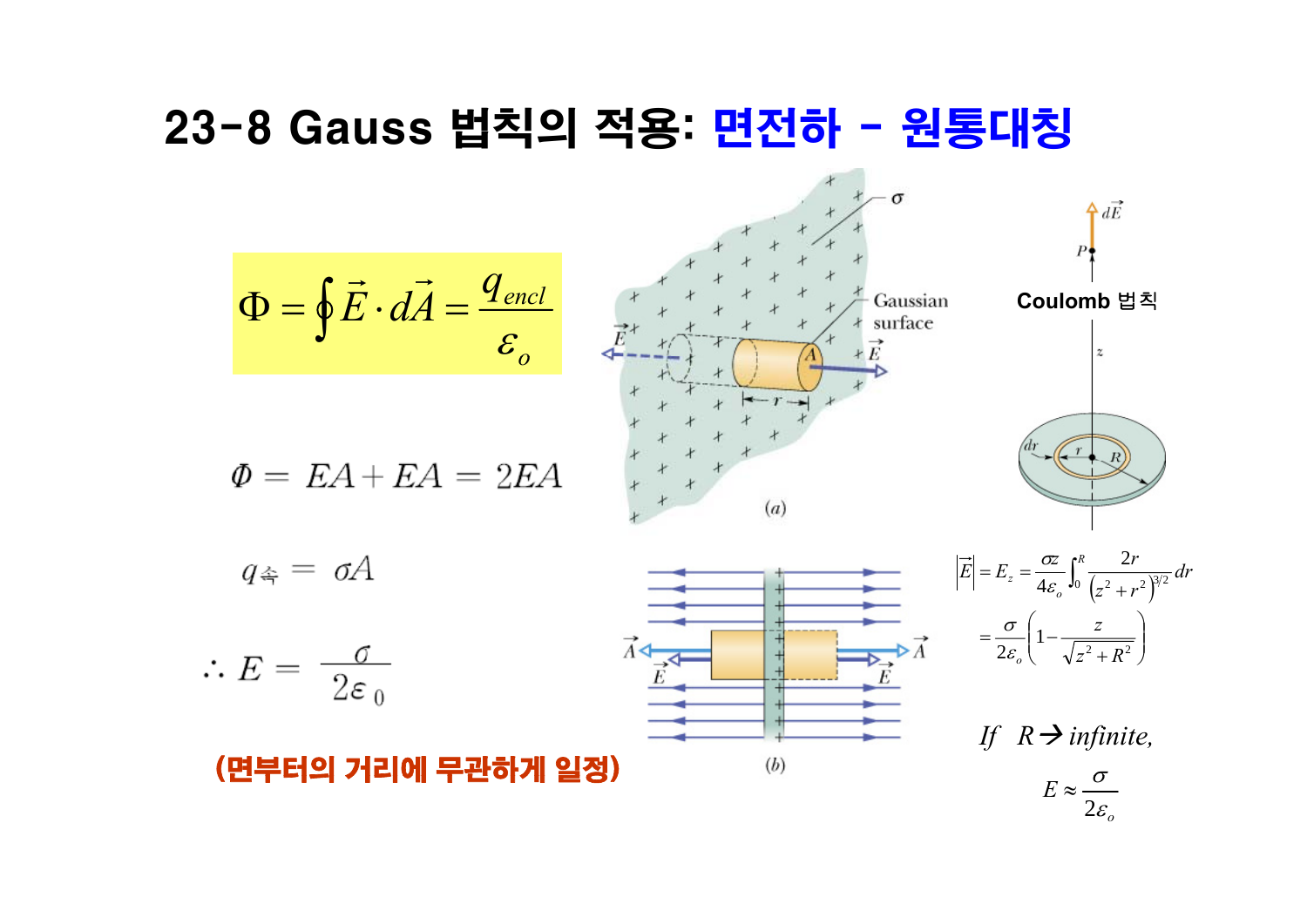### 23-8 Gauss 법칙의 적용: 면전하 - 원통대칭

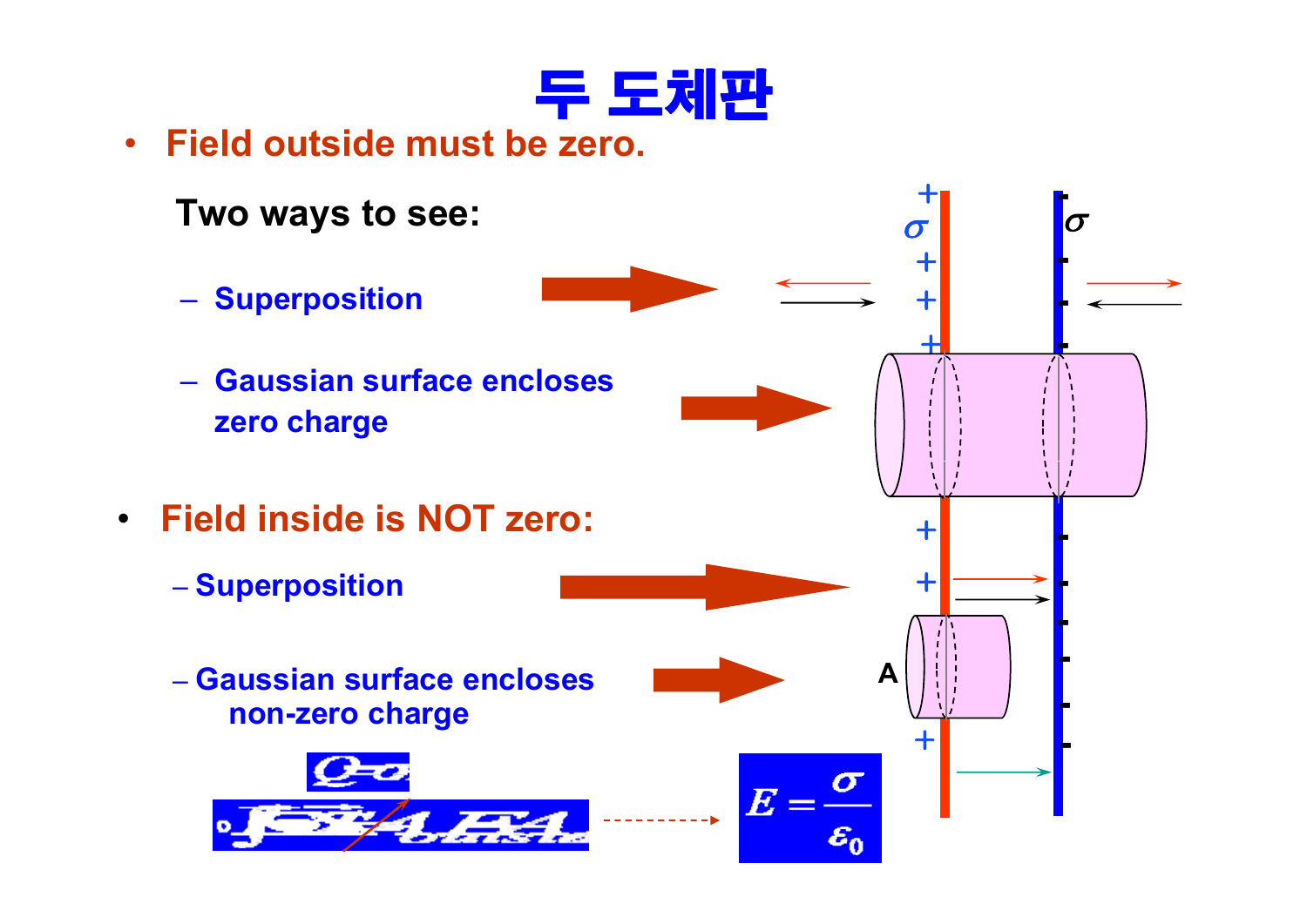

• **Field outside must be zero zero.**

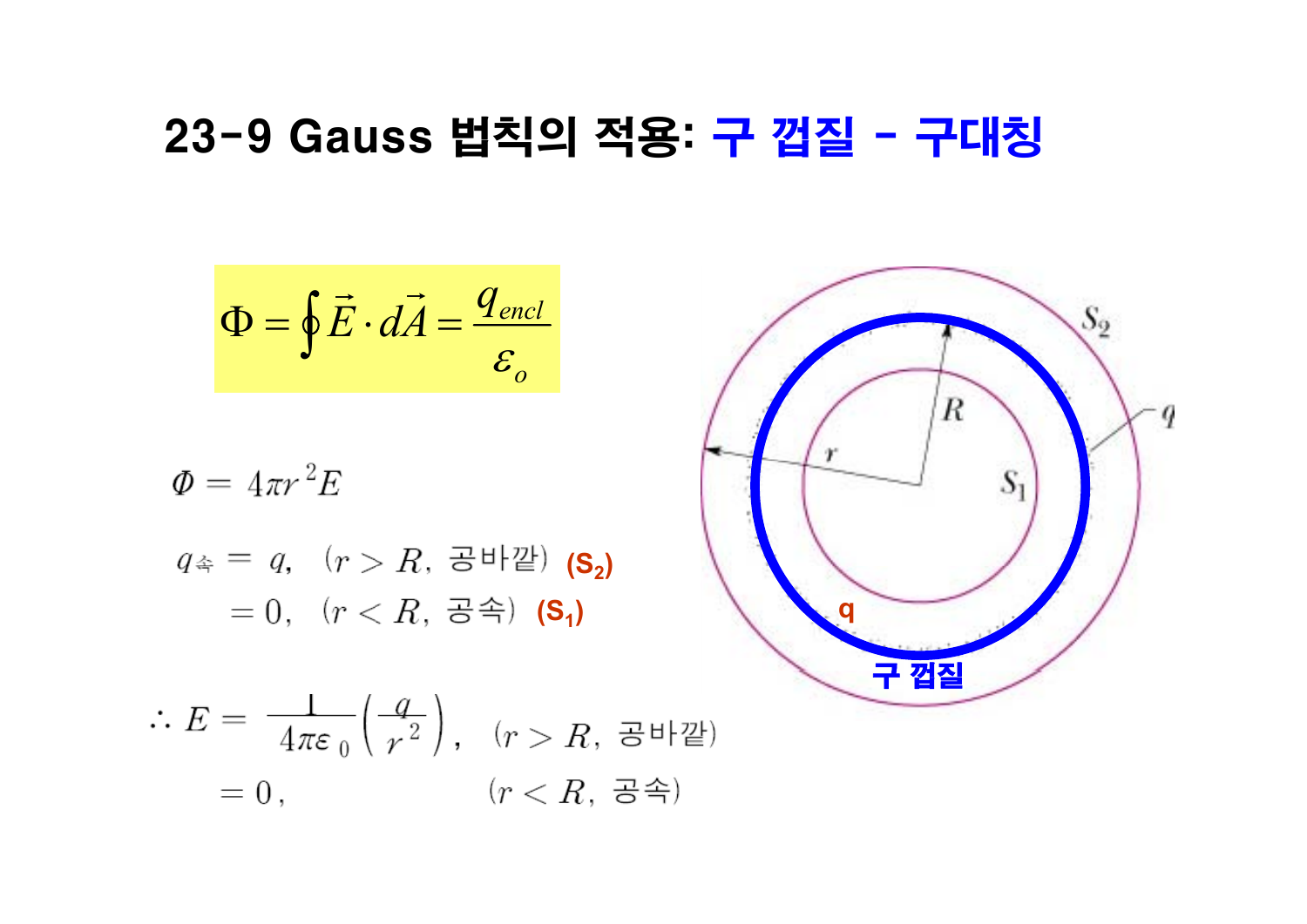### 23-9 Gauss 법칙의 적용: <del>구</del> 껍질 - 구대칭

$$
\Phi = \oint \vec{E} \cdot d\vec{A} = \frac{q_{\text{encl}}}{\varepsilon_o}
$$

$$
\Phi = 4\pi r^2 E
$$
  
\n
$$
q_{\hat{\Phi}} = q, \quad (r > R, \quad \exists^{\text{H}} \exists^{\text{H}}) \quad (S_2)
$$
  
\n
$$
= 0, \quad (r < R, \quad \exists^{\text{H}} \land \negthinspace (S_1)
$$

$$
\therefore E = \frac{1}{4\pi\varepsilon_0} \left(\frac{q}{r^2}\right), \quad (r > R, \quad \exists^{\text{th}} \mathbb{Z})
$$

$$
= 0, \qquad (r < R, \quad \exists^{\text{th}})
$$

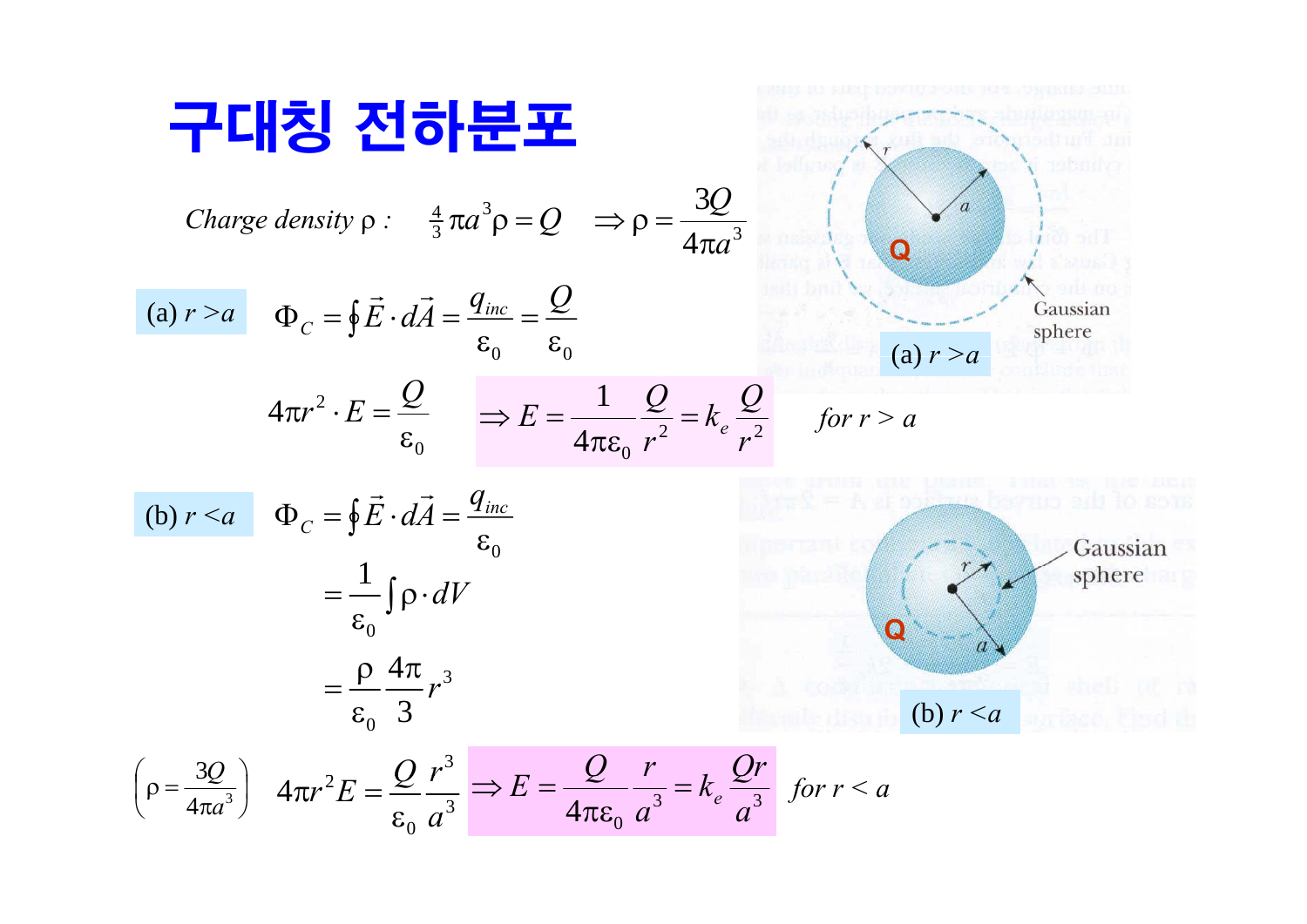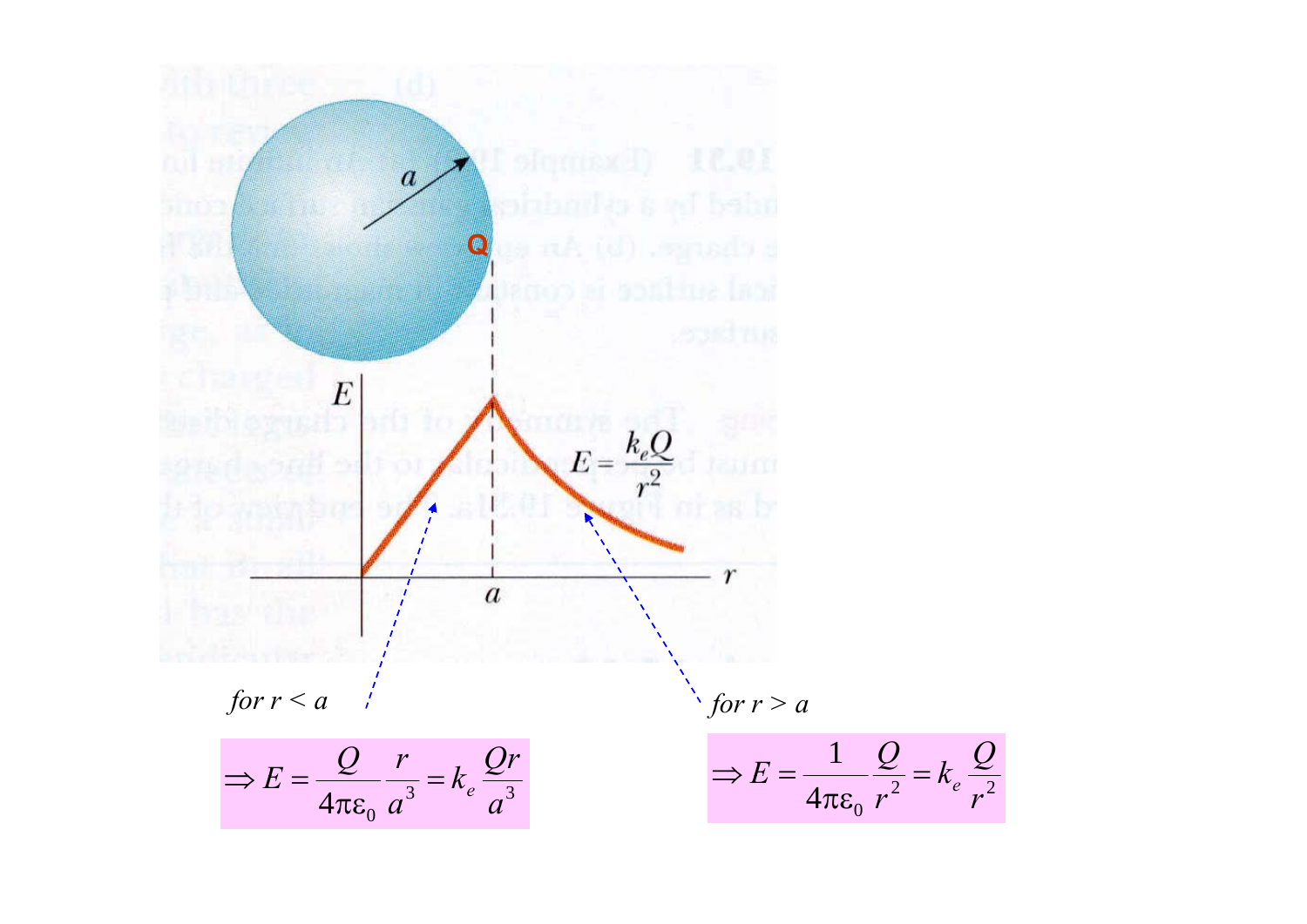